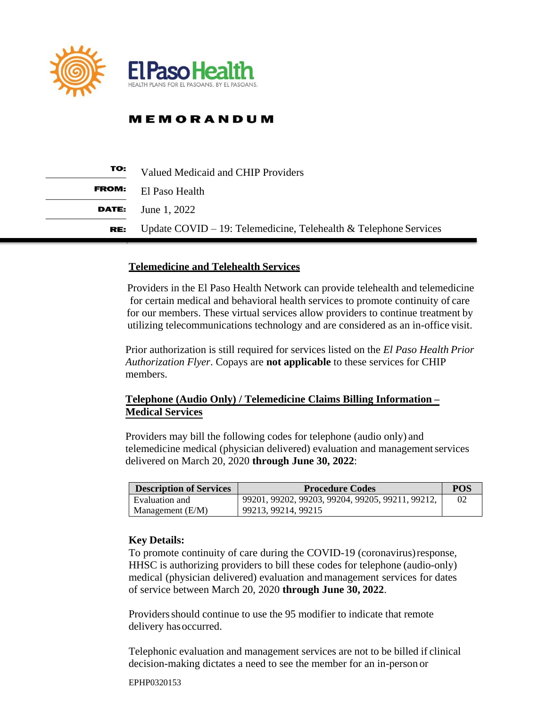

| TO:          | Valued Medicaid and CHIP Providers                               |  |
|--------------|------------------------------------------------------------------|--|
| <b>FROM:</b> | El Paso Health                                                   |  |
| DATE:        | June 1, 2022                                                     |  |
| RE:          | Update COVID - 19: Telemedicine, Telehealth & Telephone Services |  |

### **Telemedicine and Telehealth Services**

Providers in the El Paso Health Network can provide telehealth and telemedicine for certain medical and behavioral health services to promote continuity of care for our members. These virtual services allow providers to continue treatment by utilizing telecommunications technology and are considered as an in-office visit.

Prior authorization is still required for services listed on the *El Paso Health Prior Authorization Flyer*. Copays are **not applicable** to these services for CHIP members.

# **Telephone (Audio Only) / Telemedicine Claims Billing Information – Medical Services**

Providers may bill the following codes for telephone (audio only) and telemedicine medical (physician delivered) evaluation and managementservices delivered on March 20, 2020 **through June 30, 2022**:

| <b>Description of Services</b> | <b>Procedure Codes</b>                           | POS |
|--------------------------------|--------------------------------------------------|-----|
| Evaluation and                 | 99201, 99202, 99203, 99204, 99205, 99211, 99212, | 02  |
| Management $(E/M)$             | 99213, 99214, 99215                              |     |

### **Key Details:**

To promote continuity of care during the COVID-19 (coronavirus)response, HHSC is authorizing providers to bill these codes for telephone (audio-only) medical (physician delivered) evaluation andmanagement services for dates of service between March 20, 2020 **through June 30, 2022**.

Providersshould continue to use the 95 modifier to indicate that remote delivery hasoccurred.

Telephonic evaluation and management services are not to be billed if clinical decision-making dictates a need to see the member for an in-person or

EPHP0320153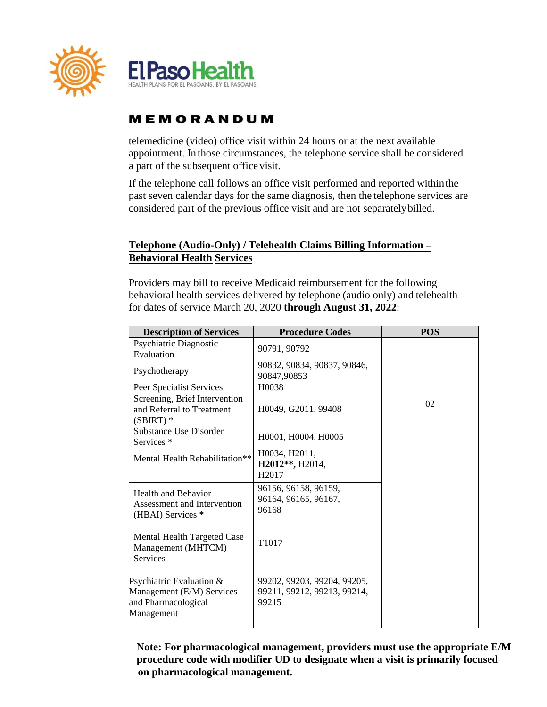

telemedicine (video) office visit within 24 hours or at the next available appointment. In those circumstances, the telephone service shall be considered a part of the subsequent office visit.

If the telephone call follows an office visit performed and reported withinthe past seven calendar days for the same diagnosis, then the telephone services are considered part of the previous office visit and are not separatelybilled.

## **Telephone (Audio-Only) / Telehealth Claims Billing Information – Behavioral Health Services**

Providers may bill to receive Medicaid reimbursement for the following behavioral health services delivered by telephone (audio only) and telehealth for dates of service March 20, 2020 **through August 31, 2022**:

| <b>Description of Services</b>                                                             | <b>Procedure Codes</b>                                              | <b>POS</b> |
|--------------------------------------------------------------------------------------------|---------------------------------------------------------------------|------------|
| Psychiatric Diagnostic<br>Evaluation                                                       | 90791, 90792                                                        |            |
| Psychotherapy                                                                              | 90832, 90834, 90837, 90846,<br>90847,90853                          |            |
| Peer Specialist Services                                                                   | H0038                                                               |            |
| Screening, Brief Intervention<br>and Referral to Treatment<br>$(SBIRT)$ *                  | H0049, G2011, 99408                                                 | 02         |
| Substance Use Disorder<br>Services <sup>*</sup>                                            | H0001, H0004, H0005                                                 |            |
| Mental Health Rehabilitation**                                                             | H0034, H2011,<br>H2012**, H2014,<br>H <sub>2017</sub>               |            |
| <b>Health and Behavior</b><br>Assessment and Intervention<br>(HBAI) Services *             | 96156, 96158, 96159,<br>96164, 96165, 96167,<br>96168               |            |
| Mental Health Targeted Case<br>Management (MHTCM)<br><b>Services</b>                       | T1017                                                               |            |
| Psychiatric Evaluation &<br>Management (E/M) Services<br>and Pharmacological<br>Management | 99202, 99203, 99204, 99205,<br>99211, 99212, 99213, 99214,<br>99215 |            |

 **Note: For pharmacological management, providers must use the appropriate E/M procedure code with modifier UD to designate when a visit is primarily focused on pharmacological management.**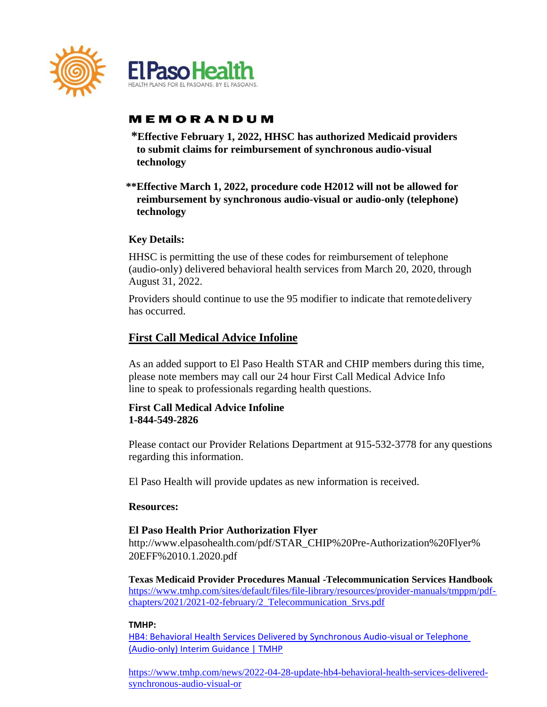

- **\*Effective February 1, 2022, HHSC has authorized Medicaid providers to submit claims for reimbursement of synchronous audio-visual technology**
- **\*\*Effective March 1, 2022, procedure code H2012 will not be allowed for reimbursement by synchronous audio-visual or audio-only (telephone) technology**

### **Key Details:**

HHSC is permitting the use of these codes for reimbursement of telephone (audio-only) delivered behavioral health services from March 20, 2020, through August 31, 2022.

Providers should continue to use the 95 modifier to indicate that remotedelivery has occurred.

# **First Call Medical Advice Infoline**

As an added support to El Paso Health STAR and CHIP members during this time, please note members may call our 24 hour First Call Medical Advice Info line to speak to professionals regarding health questions.

### **First Call Medical Advice Infoline 1-844-549-2826**

Please contact our Provider Relations Department at 915-532-3778 for any questions regarding this information.

El Paso Health will provide updates as new information is received.

### **Resources:**

### **El Paso Health Prior Authorization Flyer**

[http://www.elpasohealth.com/pdf/STAR\\_CHIP%20Pre-Authorization%20Flyer%](https://www.cms.gov/files/document/general-telemedicine-toolkit.pdf) 20EFF%2010.1.2020.pdf

**Texas Medicaid Provider Procedures Manual -Telecommunication Services Handbook** [https://www.tmhp.com/sites/default/files/file-library/resources/provider-manuals/tmppm/pdf](https://www.tmhp.com/sites/default/files/file-library/resources/provider-manuals/tmppm/pdf-%20chapters/2021/2021-02-february/2_Telecommunication_Srvs.pdf)[chapters/2021/2021-02-february/2\\_Telecommunication\\_Srvs.pdf](https://www.tmhp.com/sites/default/files/file-library/resources/provider-manuals/tmppm/pdf-%20chapters/2021/2021-02-february/2_Telecommunication_Srvs.pdf)

### **TMHP:**

[HB4: Behavioral Health Services Delivered by Synchronous Audio-visual or Telephone](https://www.tmhp.com/news/2022-01-19-hb4-behavioral-health-services-delivered-synchronous-audio-visual-or-telephone)  [\(Audio-only\) Interim Guidance | TMHP](https://www.tmhp.com/news/2022-01-19-hb4-behavioral-health-services-delivered-synchronous-audio-visual-or-telephone)

[https://www.tmhp.com/news/2022-04-28-update-hb4-behavioral-health-services-delivered](https://www.tmhp.com/news/2022-04-28-update-hb4-behavioral-health-services-delivered-synchronous-audio-visual-or)[synchronous-audio-visual-or](https://www.tmhp.com/news/2022-04-28-update-hb4-behavioral-health-services-delivered-synchronous-audio-visual-or)